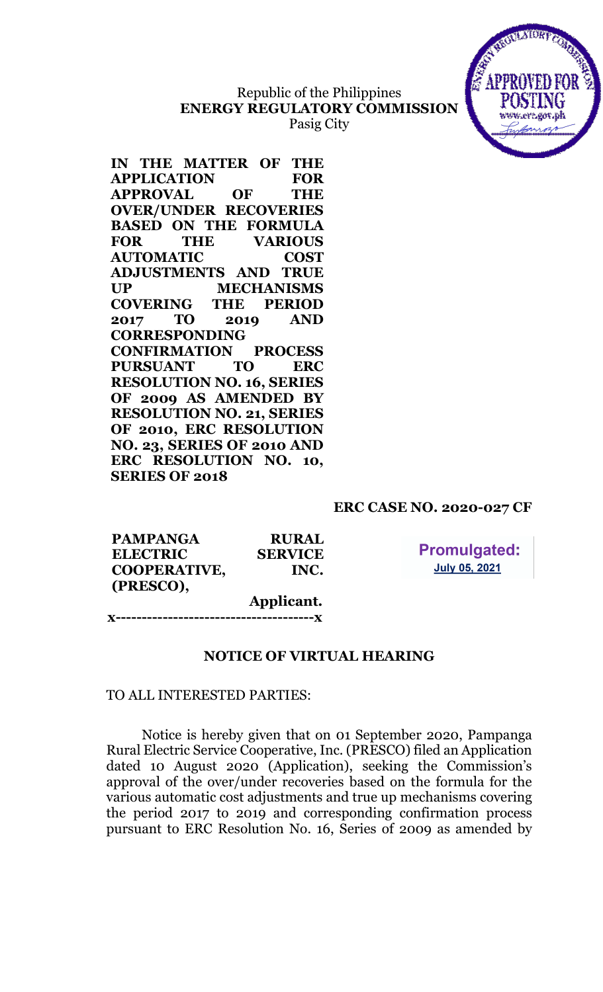# Republic of the Philippines ENERGY REGULATORY COMMISSION Pasig City



IN THE MATTER OF THE APPLICATION FOR APPROVAL OF THE OVER/UNDER RECOVERIES BASED ON THE FORMULA FOR THE VARIOUS AUTOMATIC COST ADJUSTMENTS AND TRUE UP MECHANISMS COVERING THE PERIOD 2017 TO 2019 AND CORRESPONDING CONFIRMATION PROCESS PURSUANT TO ERC RESOLUTION NO. 16, SERIES OF 2009 AS AMENDED BY RESOLUTION NO. 21, SERIES OF 2010, ERC RESOLUTION NO. 23, SERIES OF 2010 AND ERC RESOLUTION NO. 10, SERIES OF 2018

### ERC CASE NO. 2020-027 CF

**Promulgated: July 05, 2021** 

| <b>PAMPANGA</b>     | <b>RURAL</b>   |
|---------------------|----------------|
| <b>ELECTRIC</b>     | <b>SERVICE</b> |
| <b>COOPERATIVE,</b> | INC.           |
| (PRESCO),           |                |
|                     | Applicant.     |

x--------------------------------------x

### NOTICE OF VIRTUAL HEARING

#### TO ALL INTERESTED PARTIES:

Notice is hereby given that on 01 September 2020, Pampanga Rural Electric Service Cooperative, Inc. (PRESCO) filed an Application dated 10 August 2020 (Application), seeking the Commission's approval of the over/under recoveries based on the formula for the various automatic cost adjustments and true up mechanisms covering the period 2017 to 2019 and corresponding confirmation process pursuant to ERC Resolution No. 16, Series of 2009 as amended by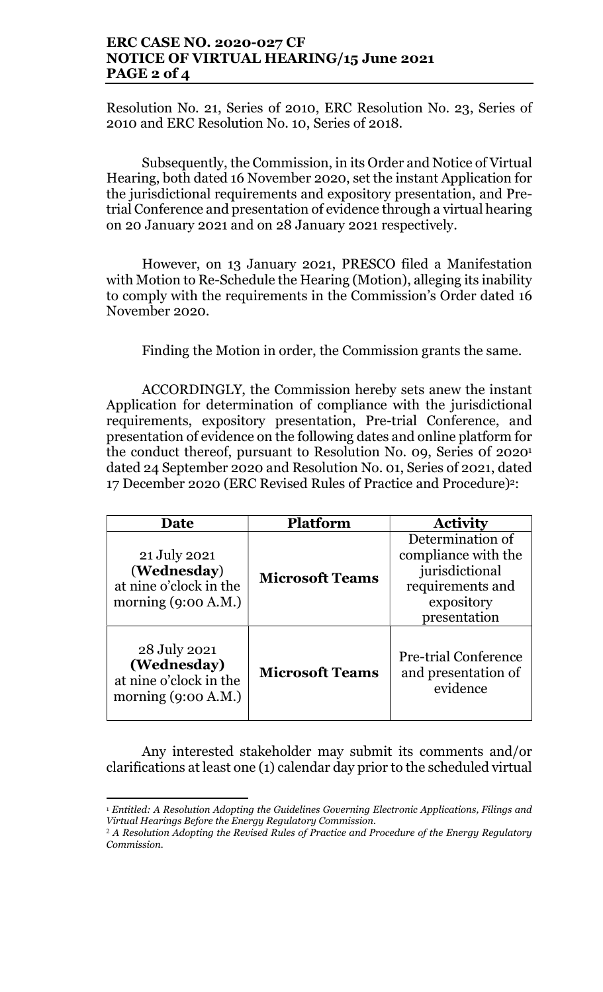## ERC CASE NO. 2020-027 CF NOTICE OF VIRTUAL HEARING/15 June 2021 PAGE 2 of 4

Resolution No. 21, Series of 2010, ERC Resolution No. 23, Series of 2010 and ERC Resolution No. 10, Series of 2018.

Subsequently, the Commission, in its Order and Notice of Virtual Hearing, both dated 16 November 2020, set the instant Application for the jurisdictional requirements and expository presentation, and Pretrial Conference and presentation of evidence through a virtual hearing on 20 January 2021 and on 28 January 2021 respectively.

However, on 13 January 2021, PRESCO filed a Manifestation with Motion to Re-Schedule the Hearing (Motion), alleging its inability to comply with the requirements in the Commission's Order dated 16 November 2020.

Finding the Motion in order, the Commission grants the same.

ACCORDINGLY, the Commission hereby sets anew the instant Application for determination of compliance with the jurisdictional requirements, expository presentation, Pre-trial Conference, and presentation of evidence on the following dates and online platform for the conduct thereof, pursuant to Resolution No. 09, Series 0f 2020<sup>1</sup> dated 24 September 2020 and Resolution No. 01, Series of 2021, dated 17 December 2020 (ERC Revised Rules of Practice and Procedure)2:

| Date                                                                           | Platform               | <b>Activity</b>                                                                                             |
|--------------------------------------------------------------------------------|------------------------|-------------------------------------------------------------------------------------------------------------|
| 21 July 2021<br>(Wednesday)<br>at nine o'clock in the<br>morning $(9:00 A.M.)$ | <b>Microsoft Teams</b> | Determination of<br>compliance with the<br>jurisdictional<br>requirements and<br>expository<br>presentation |
| 28 July 2021<br>(Wednesday)<br>at nine o'clock in the<br>morning $(9:00 A.M.)$ | <b>Microsoft Teams</b> | <b>Pre-trial Conference</b><br>and presentation of<br>evidence                                              |

Any interested stakeholder may submit its comments and/or clarifications at least one (1) calendar day prior to the scheduled virtual

 $\overline{a}$ <sup>1</sup> Entitled: A Resolution Adopting the Guidelines Governing Electronic Applications, Filings and Virtual Hearings Before the Energy Regulatory Commission.

<sup>&</sup>lt;sup>2</sup> A Resolution Adopting the Revised Rules of Practice and Procedure of the Energy Regulatory Commission.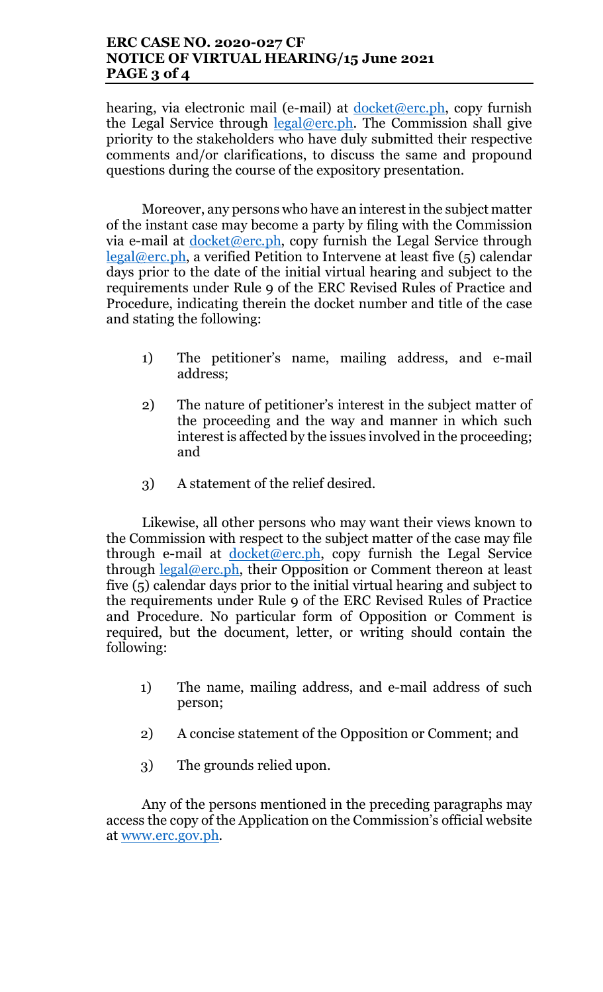## ERC CASE NO. 2020-027 CF NOTICE OF VIRTUAL HEARING/15 June 2021 PAGE 3 of 4

hearing, via electronic mail (e-mail) at docket@erc.ph, copy furnish the Legal Service through  $\text{legal@erc.ph.}$  The Commission shall give priority to the stakeholders who have duly submitted their respective comments and/or clarifications, to discuss the same and propound questions during the course of the expository presentation.

Moreover, any persons who have an interest in the subject matter of the instant case may become a party by filing with the Commission via e-mail at  $d$ ocket@erc.ph, copy furnish the Legal Service through  $legal@erc.ph, a verified Petition to Intervene at least five (5) calendar$ days prior to the date of the initial virtual hearing and subject to the requirements under Rule 9 of the ERC Revised Rules of Practice and Procedure, indicating therein the docket number and title of the case and stating the following:

- 1) The petitioner's name, mailing address, and e-mail address;
- 2) The nature of petitioner's interest in the subject matter of the proceeding and the way and manner in which such interest is affected by the issues involved in the proceeding; and
- 3) A statement of the relief desired.

Likewise, all other persons who may want their views known to the Commission with respect to the subject matter of the case may file through e-mail at  $d$ ocket@erc.ph, copy furnish the Legal Service through  $\frac{\text{legal@erc.ph}}{\text{height}}$ , their Opposition or Comment thereon at least five (5) calendar days prior to the initial virtual hearing and subject to the requirements under Rule 9 of the ERC Revised Rules of Practice and Procedure. No particular form of Opposition or Comment is required, but the document, letter, or writing should contain the following:

- 1) The name, mailing address, and e-mail address of such person;
- 2) A concise statement of the Opposition or Comment; and
- 3) The grounds relied upon.

Any of the persons mentioned in the preceding paragraphs may access the copy of the Application on the Commission's official website at www.erc.gov.ph.